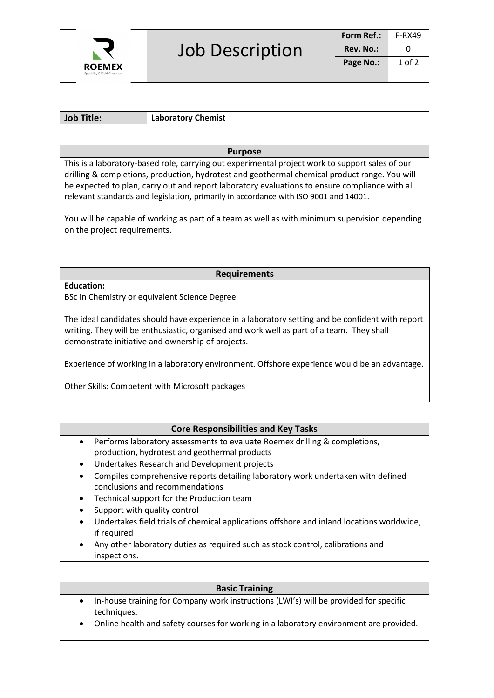

**Job Title: Laboratory Chemist**

# **Purpose**

This is a laboratory-based role, carrying out experimental project work to support sales of our drilling & completions, production, hydrotest and geothermal chemical product range. You will be expected to plan, carry out and report laboratory evaluations to ensure compliance with all relevant standards and legislation, primarily in accordance with ISO 9001 and 14001.

You will be capable of working as part of a team as well as with minimum supervision depending on the project requirements.

# **Requirements**

**Education:** 

BSc in Chemistry or equivalent Science Degree

The ideal candidates should have experience in a laboratory setting and be confident with report writing. They will be enthusiastic, organised and work well as part of a team. They shall demonstrate initiative and ownership of projects.

Experience of working in a laboratory environment. Offshore experience would be an advantage.

Other Skills: Competent with Microsoft packages

# **Core Responsibilities and Key Tasks**

- Performs laboratory assessments to evaluate Roemex drilling & completions, production, hydrotest and geothermal products
- Undertakes Research and Development projects
- Compiles comprehensive reports detailing laboratory work undertaken with defined conclusions and recommendations
- Technical support for the Production team
- Support with quality control
- Undertakes field trials of chemical applications offshore and inland locations worldwide, if required
- Any other laboratory duties as required such as stock control, calibrations and inspections.

### **Basic Training**

- In-house training for Company work instructions (LWI's) will be provided for specific techniques.
- Online health and safety courses for working in a laboratory environment are provided.